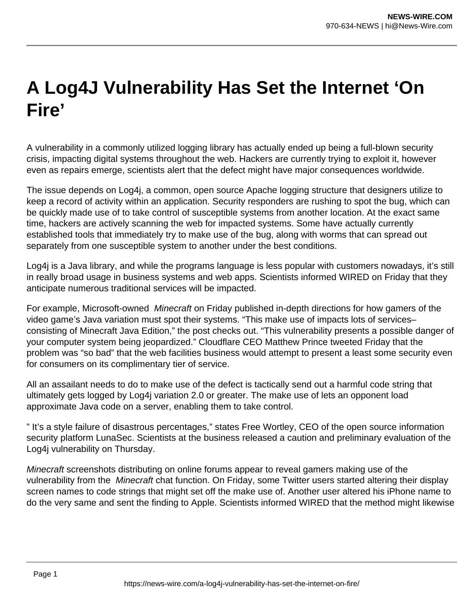## **A Log4J Vulnerability Has Set the Internet 'On Fire'**

A vulnerability in a commonly utilized logging library has actually ended up being a full-blown security crisis, impacting digital systems throughout the web. Hackers are currently trying to exploit it, however even as repairs emerge, scientists alert that the defect might have major consequences worldwide.

The issue depends on Log4j, a common, open source Apache logging structure that designers utilize to keep a record of activity within an application. Security responders are rushing to spot the bug, which can be quickly made use of to take control of susceptible systems from another location. At the exact same time, hackers are actively scanning the web for impacted systems. Some have actually currently established tools that immediately try to make use of the bug, along with worms that can spread out separately from one susceptible system to another under the best conditions.

Log4j is a Java library, and while the programs language is less popular with customers nowadays, it's still in really broad usage in business systems and web apps. Scientists informed WIRED on Friday that they anticipate numerous traditional services will be impacted.

For example, Microsoft-owned Minecraft on Friday published in-depth directions for how gamers of the video game's Java variation must spot their systems. "This make use of impacts lots of services– consisting of Minecraft Java Edition," the post checks out. "This vulnerability presents a possible danger of your computer system being jeopardized." Cloudflare CEO Matthew Prince tweeted Friday that the problem was "so bad" that the web facilities business would attempt to present a least some security even for consumers on its complimentary tier of service.

All an assailant needs to do to make use of the defect is tactically send out a harmful code string that ultimately gets logged by Log4j variation 2.0 or greater. The make use of lets an opponent load approximate Java code on a server, enabling them to take control.

" It's a style failure of disastrous percentages," states Free Wortley, CEO of the open source information security platform LunaSec. Scientists at the business released a caution and preliminary evaluation of the Log4j vulnerability on Thursday.

Minecraft screenshots distributing on online forums appear to reveal gamers making use of the vulnerability from the Minecraft chat function. On Friday, some Twitter users started altering their display screen names to code strings that might set off the make use of. Another user altered his iPhone name to do the very same and sent the finding to Apple. Scientists informed WIRED that the method might likewise